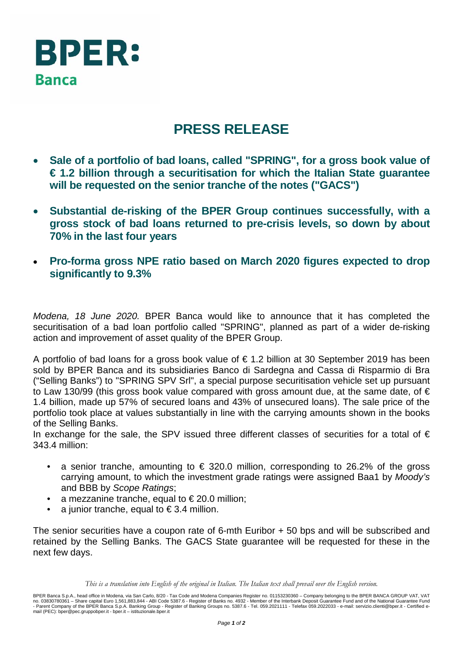

## **PRESS RELEASE**

- **Sale of a portfolio of bad loans, called "SPRING", for a gross book value of € 1.2 billion through a securitisation for which the Italian State guarantee will be requested on the senior tranche of the notes ("GACS")**
- **Substantial de-risking of the BPER Group continues successfully, with a gross stock of bad loans returned to pre-crisis levels, so down by about 70% in the last four years**
- **Pro-forma gross NPE ratio based on March 2020 figures expected to drop significantly to 9.3%**

*Modena, 18 June 2020.* BPER Banca would like to announce that it has completed the securitisation of a bad loan portfolio called "SPRING", planned as part of a wider de-risking action and improvement of asset quality of the BPER Group.

A portfolio of bad loans for a gross book value of  $\epsilon$  1.2 billion at 30 September 2019 has been sold by BPER Banca and its subsidiaries Banco di Sardegna and Cassa di Risparmio di Bra ("Selling Banks") to "SPRING SPV Srl", a special purpose securitisation vehicle set up pursuant to Law 130/99 (this gross book value compared with gross amount due, at the same date, of  $\epsilon$ 1.4 billion, made up 57% of secured loans and 43% of unsecured loans). The sale price of the portfolio took place at values substantially in line with the carrying amounts shown in the books of the Selling Banks.

In exchange for the sale, the SPV issued three different classes of securities for a total of  $\epsilon$ 343.4 million:

- a senior tranche, amounting to  $\epsilon$  320.0 million, corresponding to 26.2% of the gross carrying amount, to which the investment grade ratings were assigned Baa1 by *Moody's* and BBB by *Scope Ratings*;
- a mezzanine tranche, equal to  $\epsilon$  20.0 million;
- a junior tranche, equal to  $\epsilon$  3.4 million.

The senior securities have a coupon rate of 6-mth Euribor + 50 bps and will be subscribed and retained by the Selling Banks. The GACS State guarantee will be requested for these in the next few days.

*This is a translation into English of the original in Italian. The Italian text shall prevail over the English version.*

BPER Banca S.p.A., head office in Modena, via San Carlo, 8/20 - Tax Code and Modena Companies Register no. 01153230360 – Company belonging to the BPER BANCA GROUP VAT, VAT<br>no. 03830780361 – Share capital Euro 1,561,883,84 mail (PEC): bper@pec.gruppobper.it - bper.it – istituzionale.bper.it